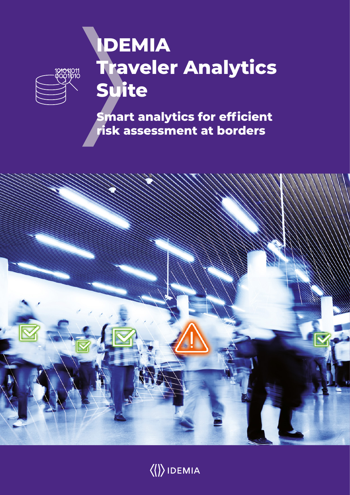# **IDEMIA Traveler Analytics Suite**

<mark>2101</mark>1011<br>2001010

**Smart analytics for efficient risk assessment at borders** 



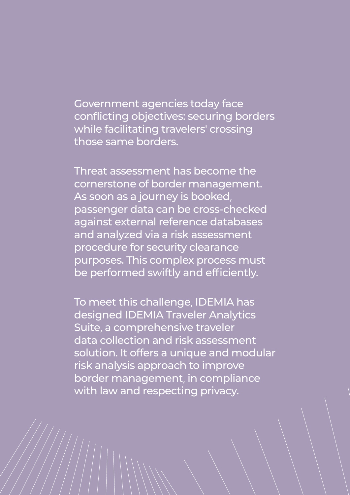Government agencies today face conflicting objectives: securing borders while facilitating travelers' crossing those same borders.

Threat assessment has become the cornerstone of border management. As soon as a journey is booked, passenger data can be cross-checked against external reference databases and analyzed via a risk assessment procedure for security clearance purposes. This complex process must be performed swiftly and efficiently.

To meet this challenge, IDEMIA has designed IDEMIA Traveler Analytics Suite, a comprehensive traveler data collection and risk assessment solution. It offers a unique and modular risk analysis approach to improve border management, in compliance with law and respecting privacy.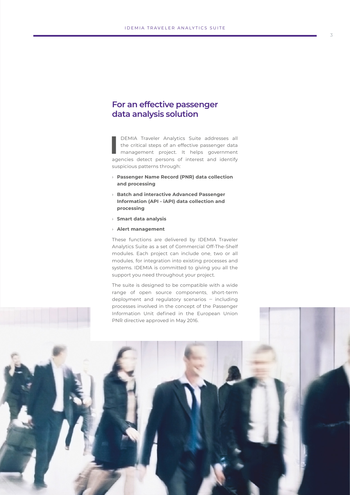## **For an effective passenger data analysis solution**

**I** DEMIA Traveler Analytics Suite addresses all the critical steps of an effective passenger data management project. It helps government agencies detect persons of interest and identify suspicious patterns through:

- › **Passenger Name Record (PNR) data collection and processing**
- › **Batch and interactive Advanced Passenger Information (API - iAPI) data collection and processing**
- › **Smart data analysis**
- › **Alert management**

These functions are delivered by IDEMIA Traveler Analytics Suite as a set of Commercial Off-The-Shelf modules. Each project can include one, two or all modules, for integration into existing processes and systems. IDEMIA is committed to giving you all the support you need throughout your project.

The suite is designed to be compatible with a wide range of open source components, short-term deployment and regulatory scenarios *‒* including

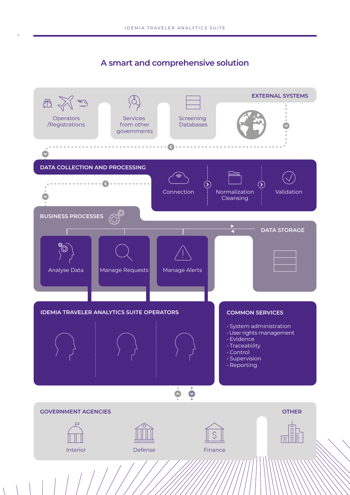# **A smart and comprehensive solution**

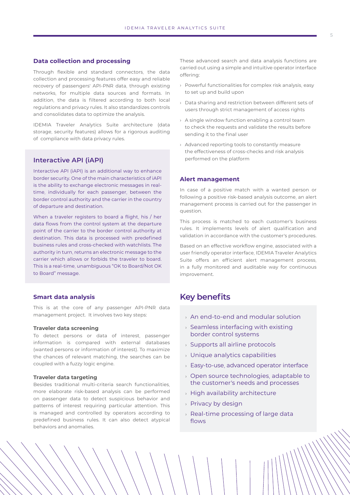### **Data collection and processing**

Through flexible and standard connectors, the data collection and processing features offer easy and reliable recovery of passengers' API-PNR data, through existing networks, for multiple data sources and formats. In addition, the data is filtered according to both local regulations and privacy rules. It also standardizes controls and consolidates data to optimize the analysis.

IDEMIA Traveler Analytics Suite architecture (data storage, security features) allows for a rigorous auditing of compliance with data privacy rules.

## **Interactive API (iAPI)**

Interactive API (iAPI) is an additional way to enhance border security. One of the main characteristics of iAPI is the ability to exchange electronic messages in realtime, individually for each passenger, between the border control authority and the carrier in the country of departure and destination.

When a traveler registers to board a flight, his / her data flows from the control system at the departure point of the carrier to the border control authority at destination. This data is processed with predefined business rules and cross-checked with watchlists. The authority in turn, returns an electronic message to the carrier which allows or forbids the traveler to board. This is a real-time, unambiguous "OK to Board/Not OK to Board" message.

#### **Smart data analysis**

This is at the core of any passenger API-PNR data management project. It involves two key steps:

#### **Traveler data screening**

To detect persons or data of interest, passenger information is compared with external databases (wanted persons or information of interest). To maximize the chances of relevant matching, the searches can be coupled with a fuzzy logic engine.

#### **Traveler data targeting**

Besides traditional multi-criteria search functionalities, more elaborate risk-based analysis can be performed on passenger data to detect suspicious behavior and patterns of interest requiring particular attention. This is managed and controlled by operators according to predefined business rules. It can also detect atypical behaviors and anomalies.

These advanced search and data analysis functions are carried out using a simple and intuitive operator interface offering:

- › Powerful functionalities for complex risk analysis, easy to set up and build upon
- › Data sharing and restriction between different sets of users through strict management of access rights
- › A single window function enabling a control team to check the requests and validate the results before sending it to the final user
- › Advanced reporting tools to constantly measure the effectiveness of cross-checks and risk analysis performed on the platform

#### **Alert management**

In case of a positive match with a wanted person or following a positive risk-based analysis outcome, an alert management process is carried out for the passenger in question.

This process is matched to each customer's business rules. It implements levels of alert qualification and validation in accordance with the customer's procedures.

Based on an effective workflow engine, associated with a user friendly operator interface, IDEMIA Traveler Analytics Suite offers an efficient alert management process, in a fully monitored and auditable way for continuous improvement.

## **Key benefits**

- › An end-to-end and modular solution
- $\rightarrow$  Seamless interfacing with existing border control systems
- › Supports all airline protocols
- › Unique analytics capabilities
- › Easy-to-use, advanced operator interface
- › Open source technologies, adaptable to the customer's needs and processes
- › High availability architecture
- › Privacy by design
- › Real-time processing of large data flows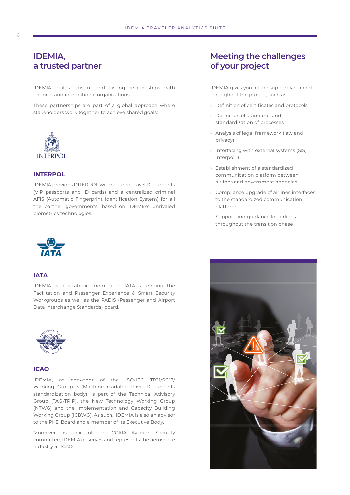## **IDEMIA, a trusted partner**

IDEMIA builds trustful and lasting relationships with national and international organizations.

These partnerships are part of a global approach where stakeholders work together to achieve shared goals:



## **INTERPOL**

IDEMIA provides INTERPOL with secured Travel Documents (VIP passports and ID cards) and a centralized criminal AFIS (Automatic Fingerprint Identification System) for all the partner governments, based on IDEMIA's unrivaled biometrics technologies.



#### **IATA**

IDEMIA is a strategic member of IATA, attending the Facilitation and Passenger Experience & Smart Security Workgroups as well as the PADIS (Passenger and Airport Data Interchange Standards) board.



#### **ICAO**

IDEMIA, as convenor of the ISO/IEC JTC1/SC17/ Working Group 3 (Machine readable travel Documents standardization body), is part of the Technical Advisory Group (TAG-TRIP), the New Technology Working Group (NTWG) and the Implementation and Capacity Building Working Group (ICBWG). As such, IDEMIA is also an advisor to the PKD Board and a member of its Executive Body.

Moreover, as chair of the ICCAIA Aviation Security committee, IDEMIA observes and represents the aerospace industry at ICAO.

# **Meeting the challenges of your project**

IDEMIA gives you all the support you need throughout the project, such as:

- › Definition of certificates and protocols
- › Definition of standards and standardization of processes
- › Analysis of legal framework (law and privacy)
- › Interfacing with external systems (SIS, Interpol…)
- › Establishment of a standardized communication platform between airlines and government agencies
- › Compliance upgrade of airlines interfaces to the standardized communication platform
- › Support and guidance for airlines throughout the transition phase

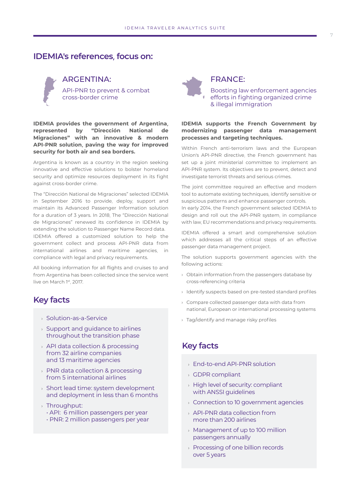## **IDEMIA's references, focus on:**



## ARGENTINA: API-PNR to prevent & combat

cross-border crime

**IDEMIA provides the government of Argentina, represented by "Dirección National de Migraciones" with an innovative & modern API-PNR solution, paving the way for improved security for both air and sea borders.**

Argentina is known as a country in the region seeking innovative and effective solutions to bolster homeland security and optimize resources deployment in its fight against cross-border crime.

The "Dirección National de Migraciones" selected IDEMIA in September 2016 to provide, deploy, support and maintain its Advanced Passenger Information solution for a duration of 3 years. In 2018, The "Dirección National de Migraciones" renewed its confidence in IDEMIA by extending the solution to Passenger Name Record data. IDEMIA offered a customized solution to help the government collect and process API-PNR data from international airlines and maritime agencies, in compliance with legal and privacy requirements.

All booking information for all flights and cruises to and from Argentina has been collected since the service went live on March 1st, 2017.

## **Key facts**

- › Solution-as-a-Service
- $\rightarrow$  Support and guidance to airlines throughout the transition phase
- › API data collection & processing from 32 airline companies and 13 maritime agencies
- › PNR data collection & processing from 5 international airlines
- › Short lead time: system development and deployment in less than 6 months
- › Throughput:
	- API: 6 million passengers per year
	- PNR: 2 million passengers per year



## FRANCE:

Boosting law enforcement agencies efforts in fighting organized crime & illegal immigration

### **IDEMIA supports the French Government by modernizing passenger data management processes and targeting techniques.**

Within French anti-terrorism laws and the European Union's API-PNR directive, the French government has set up a joint ministerial committee to implement an API-PNR system. Its objectives are to prevent, detect and investigate terrorist threats and serious crimes.

The joint committee required an effective and modern tool to automate existing techniques, identify sensitive or suspicious patterns and enhance passenger controls. In early 2014, the French government selected IDEMIA to design and roll out the API-PNR system, in compliance with law, EU recommendations and privacy requirements.

IDEMIA offered a smart and comprehensive solution which addresses all the critical steps of an effective passenger data management project.

The solution supports government agencies with the following actions:

- › Obtain information from the passengers database by cross-referencing criteria
- › Identify suspects based on pre-tested standard profiles
- › Compare collected passenger data with data from national, European or international processing systems
- › Tag/identify and manage risky profiles

## **Key facts**

- › End-to-end API-PNR solution
- › GDPR compliant
- › High level of security: compliant with ANSSI guidelines
- $\rightarrow$  Connection to 10 government agencies
- › API-PNR data collection from more than 200 airlines
- › Management of up to 100 million passengers annually
- › Processing of one billion records over 5 years